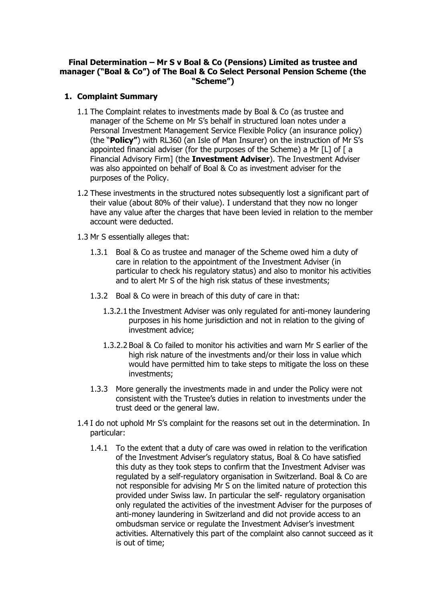## **Final Determination – Mr S v Boal & Co (Pensions) Limited as trustee and manager ("Boal & Co") of The Boal & Co Select Personal Pension Scheme (the "Scheme")**

### **1. Complaint Summary**

- 1.1 The Complaint relates to investments made by Boal & Co (as trustee and manager of the Scheme on Mr S's behalf in structured loan notes under a Personal Investment Management Service Flexible Policy (an insurance policy) (the "**Policy"**) with RL360 (an Isle of Man Insurer) on the instruction of Mr S's appointed financial adviser (for the purposes of the Scheme) a Mr [L] of [ a Financial Advisory Firm] (the **Investment Adviser**). The Investment Adviser was also appointed on behalf of Boal & Co as investment adviser for the purposes of the Policy.
- 1.2 These investments in the structured notes subsequently lost a significant part of their value (about 80% of their value). I understand that they now no longer have any value after the charges that have been levied in relation to the member account were deducted.
- 1.3 Mr S essentially alleges that:
	- 1.3.1 Boal & Co as trustee and manager of the Scheme owed him a duty of care in relation to the appointment of the Investment Adviser (in particular to check his regulatory status) and also to monitor his activities and to alert Mr S of the high risk status of these investments;
	- 1.3.2 Boal & Co were in breach of this duty of care in that:
		- 1.3.2.1 the Investment Adviser was only regulated for anti-money laundering purposes in his home jurisdiction and not in relation to the giving of investment advice;
		- 1.3.2.2 Boal & Co failed to monitor his activities and warn Mr S earlier of the high risk nature of the investments and/or their loss in value which would have permitted him to take steps to mitigate the loss on these investments;
	- 1.3.3 More generally the investments made in and under the Policy were not consistent with the Trustee's duties in relation to investments under the trust deed or the general law.
- 1.4 I do not uphold Mr S's complaint for the reasons set out in the determination. In particular:
	- 1.4.1 To the extent that a duty of care was owed in relation to the verification of the Investment Adviser's regulatory status, Boal & Co have satisfied this duty as they took steps to confirm that the Investment Adviser was regulated by a self-regulatory organisation in Switzerland. Boal & Co are not responsible for advising Mr S on the limited nature of protection this provided under Swiss law. In particular the self- regulatory organisation only regulated the activities of the investment Adviser for the purposes of anti-money laundering in Switzerland and did not provide access to an ombudsman service or regulate the Investment Adviser's investment activities. Alternatively this part of the complaint also cannot succeed as it is out of time;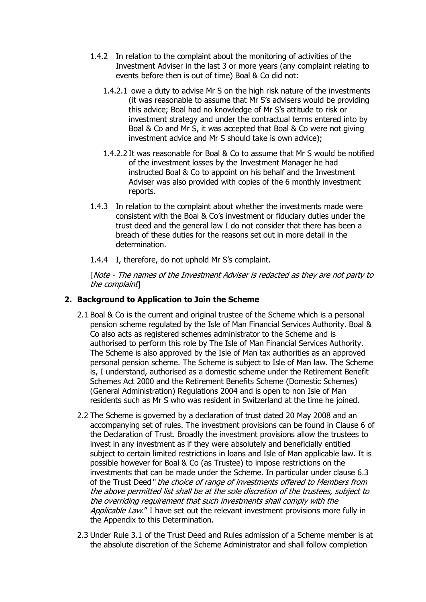- 1.4.2 In relation to the complaint about the monitoring of activities of the Investment Adviser in the last 3 or more years (any complaint relating to events before then is out of time) Boal & Co did not:
	- 1.4.2.1 owe a duty to advise Mr S on the high risk nature of the investments (it was reasonable to assume that Mr S's advisers would be providing this advice; Boal had no knowledge of Mr S's attitude to risk or investment strategy and under the contractual terms entered into by Boal & Co and Mr S, it was accepted that Boal & Co were not giving investment advice and Mr S should take is own advice);
	- 1.4.2.2 It was reasonable for Boal & Co to assume that Mr S would be notified of the investment losses by the Investment Manager he had instructed Boal & Co to appoint on his behalf and the Investment Adviser was also provided with copies of the 6 monthly investment reports.
- 1.4.3 In relation to the complaint about whether the investments made were consistent with the Boal & Co's investment or fiduciary duties under the trust deed and the general law I do not consider that there has been a breach of these duties for the reasons set out in more detail in the determination.
- 1.4.4 I, therefore, do not uphold Mr S's complaint.

[Note - The names of the Investment Adviser is redacted as they are not party to the complaint]

# **2. Background to Application to Join the Scheme**

- 2.1 Boal & Co is the current and original trustee of the Scheme which is a personal pension scheme regulated by the Isle of Man Financial Services Authority. Boal & Co also acts as registered schemes administrator to the Scheme and is authorised to perform this role by The Isle of Man Financial Services Authority. The Scheme is also approved by the Isle of Man tax authorities as an approved personal pension scheme. The Scheme is subject to Isle of Man law. The Scheme is, I understand, authorised as a domestic scheme under the Retirement Benefit Schemes Act 2000 and the Retirement Benefits Scheme (Domestic Schemes) (General Administration) Regulations 2004 and is open to non Isle of Man residents such as Mr S who was resident in Switzerland at the time he joined.
- 2.2 The Scheme is governed by a declaration of trust dated 20 May 2008 and an accompanying set of rules. The investment provisions can be found in Clause 6 of the Declaration of Trust. Broadly the investment provisions allow the trustees to invest in any investment as if they were absolutely and beneficially entitled subject to certain limited restrictions in loans and Isle of Man applicable law. It is possible however for Boal & Co (as Trustee) to impose restrictions on the investments that can be made under the Scheme. In particular under clause 6.3 of the Trust Deed" the choice of range of investments offered to Members from the above permitted list shall be at the sole discretion of the trustees, subject to the overriding requirement that such investments shall comply with the Applicable Law." I have set out the relevant investment provisions more fully in the Appendix to this Determination.
- 2.3 Under Rule 3.1 of the Trust Deed and Rules admission of a Scheme member is at the absolute discretion of the Scheme Administrator and shall follow completion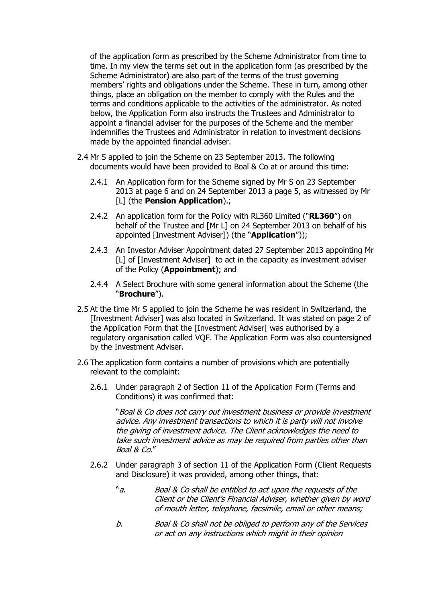of the application form as prescribed by the Scheme Administrator from time to time. In my view the terms set out in the application form (as prescribed by the Scheme Administrator) are also part of the terms of the trust governing members' rights and obligations under the Scheme. These in turn, among other things, place an obligation on the member to comply with the Rules and the terms and conditions applicable to the activities of the administrator. As noted below, the Application Form also instructs the Trustees and Administrator to appoint a financial adviser for the purposes of the Scheme and the member indemnifies the Trustees and Administrator in relation to investment decisions made by the appointed financial adviser.

- 2.4 Mr S applied to join the Scheme on 23 September 2013. The following documents would have been provided to Boal & Co at or around this time:
	- 2.4.1 An Application form for the Scheme signed by Mr S on 23 September 2013 at page 6 and on 24 September 2013 a page 5, as witnessed by Mr [L] (the **Pension Application**).;
	- 2.4.2 An application form for the Policy with RL360 Limited ("**RL360**") on behalf of the Trustee and [Mr L] on 24 September 2013 on behalf of his appointed [Investment Adviser]) (the "**Application**"));
	- 2.4.3 An Investor Adviser Appointment dated 27 September 2013 appointing Mr [L] of [Investment Adviser] to act in the capacity as investment adviser of the Policy (**Appointment**); and
	- 2.4.4 A Select Brochure with some general information about the Scheme (the "**Brochure**").
- 2.5 At the time Mr S applied to join the Scheme he was resident in Switzerland, the [Investment Adviser] was also located in Switzerland. It was stated on page 2 of the Application Form that the [Investment Adviser] was authorised by a regulatory organisation called VQF. The Application Form was also countersigned by the Investment Adviser.
- 2.6 The application form contains a number of provisions which are potentially relevant to the complaint:
	- 2.6.1 Under paragraph 2 of Section 11 of the Application Form (Terms and Conditions) it was confirmed that:

"Boal & Co does not carry out investment business or provide investment advice. Any investment transactions to which it is party will not involve the giving of investment advice. The Client acknowledges the need to take such investment advice as may be required from parties other than Boal & Co."

- 2.6.2 Under paragraph 3 of section 11 of the Application Form (Client Requests and Disclosure) it was provided, among other things, that:
	- "a. Boal & Co shall be entitled to act upon the requests of the Client or the Client's Financial Adviser, whether given by word of mouth letter, telephone, facsimile, email or other means;
	- b. Boal & Co shall not be obliged to perform any of the Services or act on any instructions which might in their opinion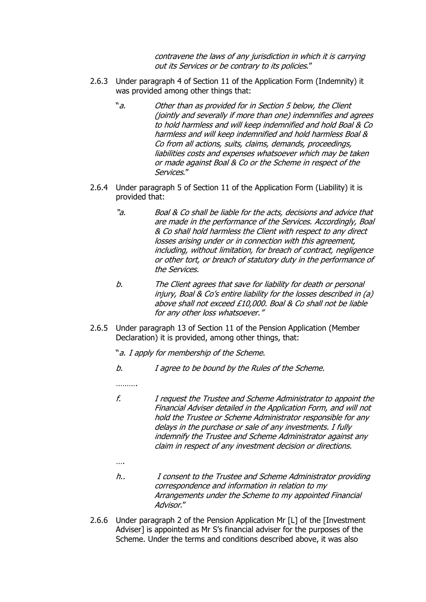contravene the laws of any jurisdiction in which it is carrying out its Services or be contrary to its policies."

- 2.6.3 Under paragraph 4 of Section 11 of the Application Form (Indemnity) it was provided among other things that:
	- "a. Other than as provided for in Section 5 below, the Client (jointly and severally if more than one) indemnifies and agrees to hold harmless and will keep indemnified and hold Boal & Co harmless and will keep indemnified and hold harmless Boal & Co from all actions, suits, claims, demands, proceedings, liabilities costs and expenses whatsoever which may be taken or made against Boal & Co or the Scheme in respect of the Services."
- 2.6.4 Under paragraph 5 of Section 11 of the Application Form (Liability) it is provided that:
	- "a. Boal & Co shall be liable for the acts, decisions and advice that are made in the performance of the Services. Accordingly, Boal & Co shall hold harmless the Client with respect to any direct losses arising under or in connection with this agreement, including, without limitation, for breach of contract, negligence or other tort, or breach of statutory duty in the performance of the Services.
	- b. The Client agrees that save for liability for death or personal injury, Boal & Co's entire liability for the losses described in (a) above shall not exceed £10,000. Boal & Co shall not be liable for any other loss whatsoever."
- 2.6.5 Under paragraph 13 of Section 11 of the Pension Application (Member Declaration) it is provided, among other things, that:

"a. I apply for membership of the Scheme.

b. I agree to be bound by the Rules of the Scheme.

…………

- f. I request the Trustee and Scheme Administrator to appoint the Financial Adviser detailed in the Application Form, and will not hold the Trustee or Scheme Administrator responsible for any delays in the purchase or sale of any investments. I fully indemnify the Trustee and Scheme Administrator against any claim in respect of any investment decision or directions.
- ….
- h.. I consent to the Trustee and Scheme Administrator providing correspondence and information in relation to my Arrangements under the Scheme to my appointed Financial Advisor."
- 2.6.6 Under paragraph 2 of the Pension Application Mr [L] of the [Investment Adviser] is appointed as Mr S's financial adviser for the purposes of the Scheme. Under the terms and conditions described above, it was also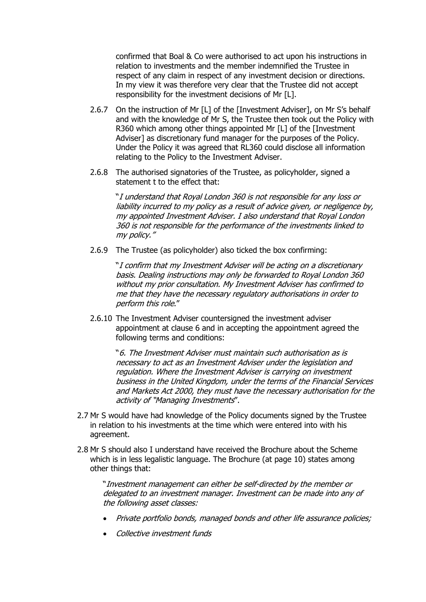confirmed that Boal & Co were authorised to act upon his instructions in relation to investments and the member indemnified the Trustee in respect of any claim in respect of any investment decision or directions. In my view it was therefore very clear that the Trustee did not accept responsibility for the investment decisions of Mr [L].

- 2.6.7 On the instruction of Mr [L] of the [Investment Adviser], on Mr S's behalf and with the knowledge of Mr S, the Trustee then took out the Policy with R360 which among other things appointed Mr [L] of the [Investment Adviser] as discretionary fund manager for the purposes of the Policy. Under the Policy it was agreed that RL360 could disclose all information relating to the Policy to the Investment Adviser.
- 2.6.8 The authorised signatories of the Trustee, as policyholder, signed a statement t to the effect that:

"I understand that Royal London 360 is not responsible for any loss or liability incurred to my policy as a result of advice given, or negligence by, my appointed Investment Adviser. I also understand that Royal London 360 is not responsible for the performance of the investments linked to my policy."

2.6.9 The Trustee (as policyholder) also ticked the box confirming:

"I confirm that my Investment Adviser will be acting on a discretionary basis. Dealing instructions may only be forwarded to Royal London 360 without my prior consultation. My Investment Adviser has confirmed to me that they have the necessary regulatory authorisations in order to perform this role."

2.6.10 The Investment Adviser countersigned the investment adviser appointment at clause 6 and in accepting the appointment agreed the following terms and conditions:

"6. The Investment Adviser must maintain such authorisation as is necessary to act as an Investment Adviser under the legislation and regulation. Where the Investment Adviser is carrying on investment business in the United Kingdom, under the terms of the Financial Services and Markets Act 2000, they must have the necessary authorisation for the activity of "Managing Investments".

- 2.7 Mr S would have had knowledge of the Policy documents signed by the Trustee in relation to his investments at the time which were entered into with his agreement.
- 2.8 Mr S should also I understand have received the Brochure about the Scheme which is in less legalistic language. The Brochure (at page 10) states among other things that:

"Investment management can either be self-directed by the member or delegated to an investment manager. Investment can be made into any of the following asset classes:

- Private portfolio bonds, managed bonds and other life assurance policies;
- Collective investment funds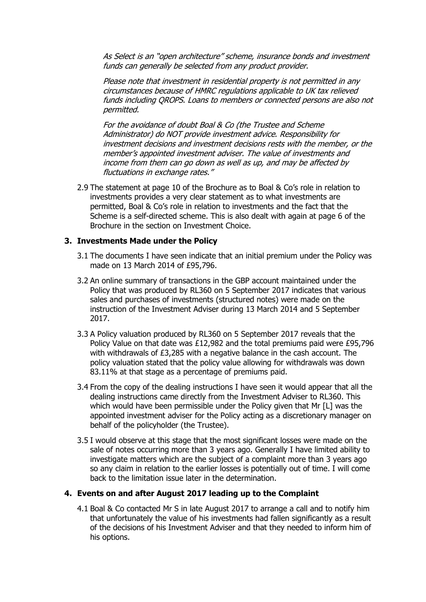As Select is an "open architecture" scheme, insurance bonds and investment funds can generally be selected from any product provider.

Please note that investment in residential property is not permitted in any circumstances because of HMRC regulations applicable to UK tax relieved funds including QROPS. Loans to members or connected persons are also not permitted.

For the avoidance of doubt Boal & Co (the Trustee and Scheme Administrator) do NOT provide investment advice. Responsibility for investment decisions and investment decisions rests with the member, or the member's appointed investment adviser. The value of investments and income from them can go down as well as up, and may be affected by fluctuations in exchange rates."

2.9 The statement at page 10 of the Brochure as to Boal & Co's role in relation to investments provides a very clear statement as to what investments are permitted, Boal & Co's role in relation to investments and the fact that the Scheme is a self-directed scheme. This is also dealt with again at page 6 of the Brochure in the section on Investment Choice.

### **3. Investments Made under the Policy**

- 3.1 The documents I have seen indicate that an initial premium under the Policy was made on 13 March 2014 of £95,796.
- 3.2 An online summary of transactions in the GBP account maintained under the Policy that was produced by RL360 on 5 September 2017 indicates that various sales and purchases of investments (structured notes) were made on the instruction of the Investment Adviser during 13 March 2014 and 5 September 2017.
- 3.3 A Policy valuation produced by RL360 on 5 September 2017 reveals that the Policy Value on that date was £12,982 and the total premiums paid were £95,796 with withdrawals of £3,285 with a negative balance in the cash account. The policy valuation stated that the policy value allowing for withdrawals was down 83.11% at that stage as a percentage of premiums paid.
- 3.4 From the copy of the dealing instructions I have seen it would appear that all the dealing instructions came directly from the Investment Adviser to RL360. This which would have been permissible under the Policy given that Mr [L] was the appointed investment adviser for the Policy acting as a discretionary manager on behalf of the policyholder (the Trustee).
- 3.5 I would observe at this stage that the most significant losses were made on the sale of notes occurring more than 3 years ago. Generally I have limited ability to investigate matters which are the subject of a complaint more than 3 years ago so any claim in relation to the earlier losses is potentially out of time. I will come back to the limitation issue later in the determination.

### **4. Events on and after August 2017 leading up to the Complaint**

4.1 Boal & Co contacted Mr S in late August 2017 to arrange a call and to notify him that unfortunately the value of his investments had fallen significantly as a result of the decisions of his Investment Adviser and that they needed to inform him of his options.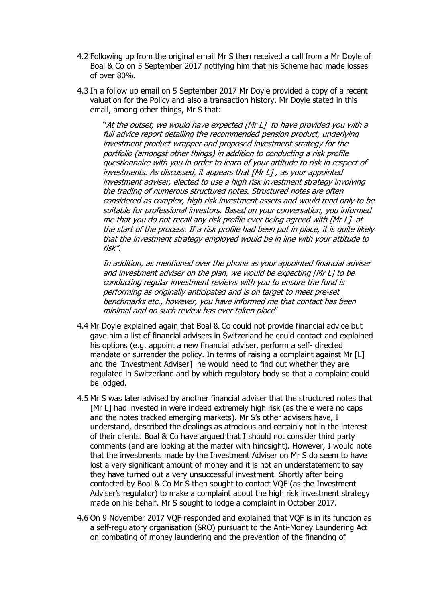- 4.2 Following up from the original email Mr S then received a call from a Mr Doyle of Boal & Co on 5 September 2017 notifying him that his Scheme had made losses of over 80%.
- 4.3 In a follow up email on 5 September 2017 Mr Doyle provided a copy of a recent valuation for the Policy and also a transaction history. Mr Doyle stated in this email, among other things, Mr S that:

"At the outset, we would have expected [Mr L] to have provided you with a full advice report detailing the recommended pension product, underlying investment product wrapper and proposed investment strategy for the portfolio (amongst other things) in addition to conducting a risk profile questionnaire with you in order to learn of your attitude to risk in respect of investments. As discussed, it appears that [Mr L] , as your appointed investment adviser, elected to use a high risk investment strategy involving the trading of numerous structured notes. Structured notes are often considered as complex, high risk investment assets and would tend only to be suitable for professional investors. Based on your conversation, you informed me that you do not recall any risk profile ever being agreed with [Mr L] at the start of the process. If a risk profile had been put in place, it is quite likely that the investment strategy employed would be in line with your attitude to risk".

In addition, as mentioned over the phone as your appointed financial adviser and investment adviser on the plan, we would be expecting [Mr L] to be conducting regular investment reviews with you to ensure the fund is performing as originally anticipated and is on target to meet pre-set benchmarks etc., however, you have informed me that contact has been minimal and no such review has ever taken place"

- 4.4 Mr Doyle explained again that Boal & Co could not provide financial advice but gave him a list of financial advisers in Switzerland he could contact and explained his options (e.g. appoint a new financial adviser, perform a self- directed mandate or surrender the policy. In terms of raising a complaint against Mr [L] and the [Investment Adviser] he would need to find out whether they are regulated in Switzerland and by which regulatory body so that a complaint could be lodged.
- 4.5 Mr S was later advised by another financial adviser that the structured notes that [Mr L] had invested in were indeed extremely high risk (as there were no caps and the notes tracked emerging markets). Mr S's other advisers have, I understand, described the dealings as atrocious and certainly not in the interest of their clients. Boal & Co have argued that I should not consider third party comments (and are looking at the matter with hindsight). However, I would note that the investments made by the Investment Adviser on Mr S do seem to have lost a very significant amount of money and it is not an understatement to say they have turned out a very unsuccessful investment. Shortly after being contacted by Boal & Co Mr S then sought to contact VQF (as the Investment Adviser's regulator) to make a complaint about the high risk investment strategy made on his behalf. Mr S sought to lodge a complaint in October 2017.
- 4.6 On 9 November 2017 VQF responded and explained that VQF is in its function as a self-regulatory organisation (SRO) pursuant to the Anti-Money Laundering Act on combating of money laundering and the prevention of the financing of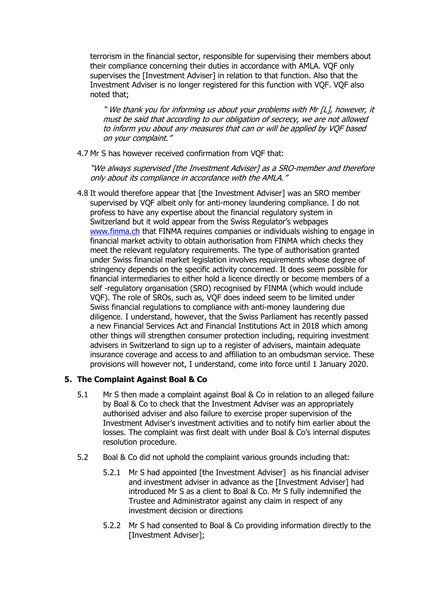terrorism in the financial sector, responsible for supervising their members about their compliance concerning their duties in accordance with AMLA. VQF only supervises the [Investment Adviser] in relation to that function. Also that the Investment Adviser is no longer registered for this function with VQF. VQF also noted that;

" We thank you for informing us about your problems with Mr [L], however, it must be said that according to our obligation of secrecy, we are not allowed to inform you about any measures that can or will be applied by VQF based on your complaint."

4.7 Mr S has however received confirmation from VQF that:

"We always supervised [the Investment Adviser] as a SRO-member and therefore only about its compliance in accordance with the AMLA."

4.8 It would therefore appear that [the Investment Adviser] was an SRO member supervised by VQF albeit only for anti-money laundering compliance. I do not profess to have any expertise about the financial regulatory system in Switzerland but it wold appear from the Swiss Regulator's webpages [www.finma.ch](http://www.finma.ch/) that FINMA requires companies or individuals wishing to engage in financial market activity to obtain authorisation from FINMA which checks they meet the relevant regulatory requirements. The type of authorisation granted under Swiss financial market legislation involves requirements whose degree of stringency depends on the specific activity concerned. It does seem possible for financial intermediaries to either hold a licence directly or become members of a self -regulatory organisation (SRO) recognised by FINMA (which would include VQF). The role of SROs, such as, VQF does indeed seem to be limited under Swiss financial regulations to compliance with anti-money laundering due diligence. I understand, however, that the Swiss Parliament has recently passed a new Financial Services Act and Financial Institutions Act in 2018 which among other things will strengthen consumer protection including, requiring investment advisers in Switzerland to sign up to a register of advisers, maintain adequate insurance coverage and access to and affiliation to an ombudsman service. These provisions will however not, I understand, come into force until 1 January 2020.

# **5. The Complaint Against Boal & Co**

- 5.1 Mr S then made a complaint against Boal & Co in relation to an alleged failure by Boal & Co to check that the Investment Adviser was an appropriately authorised adviser and also failure to exercise proper supervision of the Investment Adviser's investment activities and to notify him earlier about the losses. The complaint was first dealt with under Boal & Co's internal disputes resolution procedure.
- 5.2 Boal & Co did not uphold the complaint various grounds including that:
	- 5.2.1 Mr S had appointed [the Investment Adviser] as his financial adviser and investment adviser in advance as the [Investment Adviser] had introduced Mr S as a client to Boal & Co. Mr S fully indemnified the Trustee and Administrator against any claim in respect of any investment decision or directions
	- 5.2.2 Mr S had consented to Boal & Co providing information directly to the [Investment Adviser];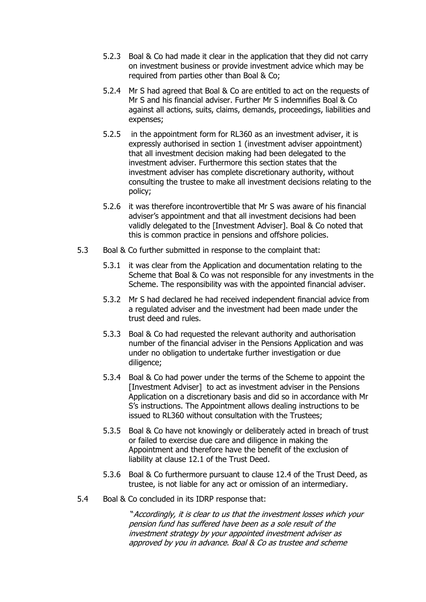- 5.2.3 Boal & Co had made it clear in the application that they did not carry on investment business or provide investment advice which may be required from parties other than Boal & Co;
- 5.2.4 Mr S had agreed that Boal & Co are entitled to act on the requests of Mr S and his financial adviser. Further Mr S indemnifies Boal & Co against all actions, suits, claims, demands, proceedings, liabilities and expenses;
- 5.2.5 in the appointment form for RL360 as an investment adviser, it is expressly authorised in section 1 (investment adviser appointment) that all investment decision making had been delegated to the investment adviser. Furthermore this section states that the investment adviser has complete discretionary authority, without consulting the trustee to make all investment decisions relating to the policy;
- 5.2.6 it was therefore incontrovertible that Mr S was aware of his financial adviser's appointment and that all investment decisions had been validly delegated to the [Investment Adviser]. Boal & Co noted that this is common practice in pensions and offshore policies.
- 5.3 Boal & Co further submitted in response to the complaint that:
	- 5.3.1 it was clear from the Application and documentation relating to the Scheme that Boal & Co was not responsible for any investments in the Scheme. The responsibility was with the appointed financial adviser.
	- 5.3.2 Mr S had declared he had received independent financial advice from a regulated adviser and the investment had been made under the trust deed and rules.
	- 5.3.3 Boal & Co had requested the relevant authority and authorisation number of the financial adviser in the Pensions Application and was under no obligation to undertake further investigation or due diligence;
	- 5.3.4 Boal & Co had power under the terms of the Scheme to appoint the [Investment Adviser] to act as investment adviser in the Pensions Application on a discretionary basis and did so in accordance with Mr S's instructions. The Appointment allows dealing instructions to be issued to RL360 without consultation with the Trustees;
	- 5.3.5 Boal & Co have not knowingly or deliberately acted in breach of trust or failed to exercise due care and diligence in making the Appointment and therefore have the benefit of the exclusion of liability at clause 12.1 of the Trust Deed.
	- 5.3.6 Boal & Co furthermore pursuant to clause 12.4 of the Trust Deed, as trustee, is not liable for any act or omission of an intermediary.
- 5.4 Boal & Co concluded in its IDRP response that:

"Accordingly, it is clear to us that the investment losses which your pension fund has suffered have been as a sole result of the investment strategy by your appointed investment adviser as approved by you in advance. Boal & Co as trustee and scheme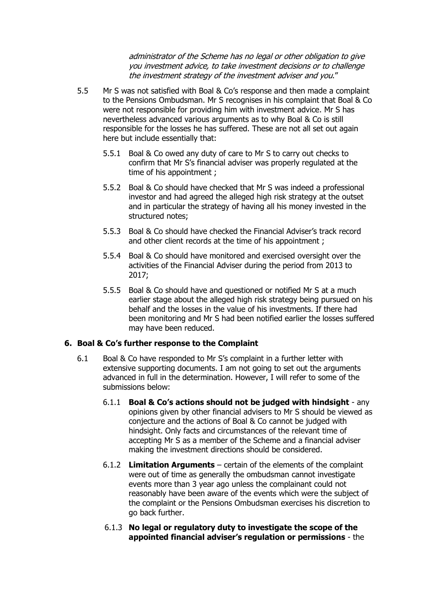administrator of the Scheme has no legal or other obligation to give you investment advice, to take investment decisions or to challenge the investment strategy of the investment adviser and you."

- 5.5 Mr S was not satisfied with Boal & Co's response and then made a complaint to the Pensions Ombudsman. Mr S recognises in his complaint that Boal & Co were not responsible for providing him with investment advice. Mr S has nevertheless advanced various arguments as to why Boal & Co is still responsible for the losses he has suffered. These are not all set out again here but include essentially that:
	- 5.5.1 Boal & Co owed any duty of care to Mr S to carry out checks to confirm that Mr S's financial adviser was properly regulated at the time of his appointment ;
	- 5.5.2 Boal & Co should have checked that Mr S was indeed a professional investor and had agreed the alleged high risk strategy at the outset and in particular the strategy of having all his money invested in the structured notes;
	- 5.5.3 Boal & Co should have checked the Financial Adviser's track record and other client records at the time of his appointment :
	- 5.5.4 Boal & Co should have monitored and exercised oversight over the activities of the Financial Adviser during the period from 2013 to 2017;
	- 5.5.5 Boal & Co should have and questioned or notified Mr S at a much earlier stage about the alleged high risk strategy being pursued on his behalf and the losses in the value of his investments. If there had been monitoring and Mr S had been notified earlier the losses suffered may have been reduced.

# **6. Boal & Co's further response to the Complaint**

- 6.1 Boal & Co have responded to Mr S's complaint in a further letter with extensive supporting documents. I am not going to set out the arguments advanced in full in the determination. However, I will refer to some of the submissions below:
	- 6.1.1 **Boal & Co's actions should not be judged with hindsight** any opinions given by other financial advisers to Mr S should be viewed as conjecture and the actions of Boal & Co cannot be judged with hindsight. Only facts and circumstances of the relevant time of accepting Mr S as a member of the Scheme and a financial adviser making the investment directions should be considered.
	- 6.1.2 **Limitation Arguments** certain of the elements of the complaint were out of time as generally the ombudsman cannot investigate events more than 3 year ago unless the complainant could not reasonably have been aware of the events which were the subject of the complaint or the Pensions Ombudsman exercises his discretion to go back further.
	- 6.1.3 **No legal or regulatory duty to investigate the scope of the appointed financial adviser's regulation or permissions** - the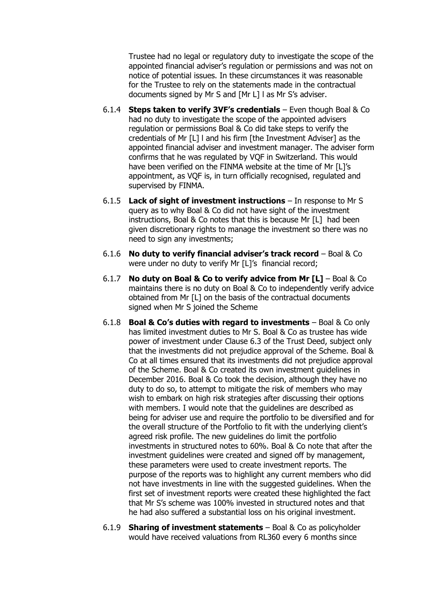Trustee had no legal or regulatory duty to investigate the scope of the appointed financial adviser's regulation or permissions and was not on notice of potential issues. In these circumstances it was reasonable for the Trustee to rely on the statements made in the contractual documents signed by Mr S and [Mr L] l as Mr S's adviser.

- 6.1.4 **Steps taken to verify 3VF's credentials** Even though Boal & Co had no duty to investigate the scope of the appointed advisers regulation or permissions Boal & Co did take steps to verify the credentials of Mr [L] l and his firm [the Investment Adviser] as the appointed financial adviser and investment manager. The adviser form confirms that he was regulated by VQF in Switzerland. This would have been verified on the FINMA website at the time of Mr [L]'s appointment, as VQF is, in turn officially recognised, regulated and supervised by FINMA.
- 6.1.5 **Lack of sight of investment instructions** In response to Mr S query as to why Boal & Co did not have sight of the investment instructions, Boal & Co notes that this is because Mr [L] had been given discretionary rights to manage the investment so there was no need to sign any investments;
- 6.1.6 **No duty to verify financial adviser's track record** Boal & Co were under no duty to verify Mr [L]'s financial record;
- 6.1.7 **No duty on Boal & Co to verify advice from Mr [L]**  Boal & Co maintains there is no duty on Boal & Co to independently verify advice obtained from Mr [L] on the basis of the contractual documents signed when Mr S joined the Scheme
- 6.1.8 **Boal & Co's duties with regard to investments** Boal & Co only has limited investment duties to Mr S. Boal & Co as trustee has wide power of investment under Clause 6.3 of the Trust Deed, subject only that the investments did not prejudice approval of the Scheme. Boal & Co at all times ensured that its investments did not prejudice approval of the Scheme. Boal & Co created its own investment guidelines in December 2016. Boal & Co took the decision, although they have no duty to do so, to attempt to mitigate the risk of members who may wish to embark on high risk strategies after discussing their options with members. I would note that the guidelines are described as being for adviser use and require the portfolio to be diversified and for the overall structure of the Portfolio to fit with the underlying client's agreed risk profile. The new guidelines do limit the portfolio investments in structured notes to 60%. Boal & Co note that after the investment guidelines were created and signed off by management, these parameters were used to create investment reports. The purpose of the reports was to highlight any current members who did not have investments in line with the suggested guidelines. When the first set of investment reports were created these highlighted the fact that Mr S's scheme was 100% invested in structured notes and that he had also suffered a substantial loss on his original investment.
- 6.1.9 **Sharing of investment statements** Boal & Co as policyholder would have received valuations from RL360 every 6 months since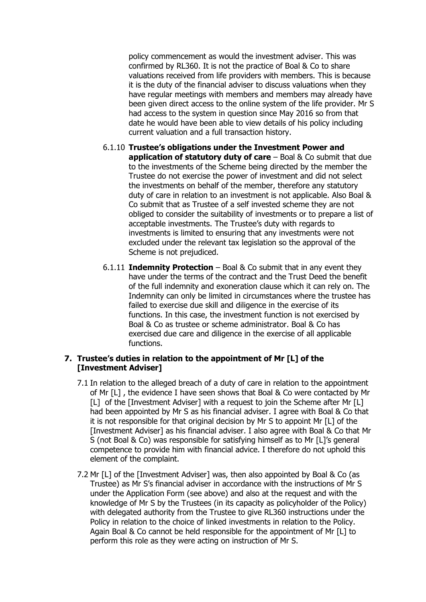policy commencement as would the investment adviser. This was confirmed by RL360. It is not the practice of Boal & Co to share valuations received from life providers with members. This is because it is the duty of the financial adviser to discuss valuations when they have regular meetings with members and members may already have been given direct access to the online system of the life provider. Mr S had access to the system in question since May 2016 so from that date he would have been able to view details of his policy including current valuation and a full transaction history.

- 6.1.10 **Trustee's obligations under the Investment Power and application of statutory duty of care** – Boal & Co submit that due to the investments of the Scheme being directed by the member the Trustee do not exercise the power of investment and did not select the investments on behalf of the member, therefore any statutory duty of care in relation to an investment is not applicable. Also Boal & Co submit that as Trustee of a self invested scheme they are not obliged to consider the suitability of investments or to prepare a list of acceptable investments. The Trustee's duty with regards to investments is limited to ensuring that any investments were not excluded under the relevant tax legislation so the approval of the Scheme is not prejudiced.
- 6.1.11 **Indemnity Protection** Boal & Co submit that in any event they have under the terms of the contract and the Trust Deed the benefit of the full indemnity and exoneration clause which it can rely on. The Indemnity can only be limited in circumstances where the trustee has failed to exercise due skill and diligence in the exercise of its functions. In this case, the investment function is not exercised by Boal & Co as trustee or scheme administrator. Boal & Co has exercised due care and diligence in the exercise of all applicable functions.

### **7. Trustee's duties in relation to the appointment of Mr [L] of the [Investment Adviser]**

- 7.1 In relation to the alleged breach of a duty of care in relation to the appointment of Mr [L] , the evidence I have seen shows that Boal & Co were contacted by Mr [L] of the [Investment Adviser] with a request to join the Scheme after Mr [L] had been appointed by Mr S as his financial adviser. I agree with Boal & Co that it is not responsible for that original decision by Mr S to appoint Mr [L] of the [Investment Adviser] as his financial adviser. I also agree with Boal & Co that Mr S (not Boal & Co) was responsible for satisfying himself as to Mr [L]'s general competence to provide him with financial advice. I therefore do not uphold this element of the complaint.
- 7.2 Mr [L] of the [Investment Adviser] was, then also appointed by Boal & Co (as Trustee) as Mr S's financial adviser in accordance with the instructions of Mr S under the Application Form (see above) and also at the request and with the knowledge of Mr S by the Trustees (in its capacity as policyholder of the Policy) with delegated authority from the Trustee to give RL360 instructions under the Policy in relation to the choice of linked investments in relation to the Policy. Again Boal & Co cannot be held responsible for the appointment of Mr [L] to perform this role as they were acting on instruction of Mr S.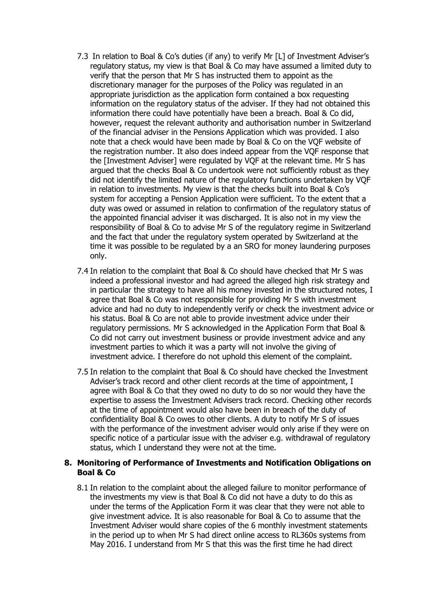- 7.3 In relation to Boal & Co's duties (if any) to verify Mr [L] of Investment Adviser's regulatory status, my view is that Boal & Co may have assumed a limited duty to verify that the person that Mr S has instructed them to appoint as the discretionary manager for the purposes of the Policy was regulated in an appropriate jurisdiction as the application form contained a box requesting information on the regulatory status of the adviser. If they had not obtained this information there could have potentially have been a breach. Boal & Co did, however, request the relevant authority and authorisation number in Switzerland of the financial adviser in the Pensions Application which was provided. I also note that a check would have been made by Boal & Co on the VQF website of the registration number. It also does indeed appear from the VQF response that the [Investment Adviser] were regulated by VQF at the relevant time. Mr S has argued that the checks Boal & Co undertook were not sufficiently robust as they did not identify the limited nature of the regulatory functions undertaken by VQF in relation to investments. My view is that the checks built into Boal & Co's system for accepting a Pension Application were sufficient. To the extent that a duty was owed or assumed in relation to confirmation of the regulatory status of the appointed financial adviser it was discharged. It is also not in my view the responsibility of Boal & Co to advise Mr S of the regulatory regime in Switzerland and the fact that under the regulatory system operated by Switzerland at the time it was possible to be regulated by a an SRO for money laundering purposes only.
- 7.4 In relation to the complaint that Boal & Co should have checked that Mr S was indeed a professional investor and had agreed the alleged high risk strategy and in particular the strategy to have all his money invested in the structured notes, I agree that Boal & Co was not responsible for providing Mr S with investment advice and had no duty to independently verify or check the investment advice or his status. Boal & Co are not able to provide investment advice under their regulatory permissions. Mr S acknowledged in the Application Form that Boal & Co did not carry out investment business or provide investment advice and any investment parties to which it was a party will not involve the giving of investment advice. I therefore do not uphold this element of the complaint.
- 7.5 In relation to the complaint that Boal & Co should have checked the Investment Adviser's track record and other client records at the time of appointment, I agree with Boal & Co that they owed no duty to do so nor would they have the expertise to assess the Investment Advisers track record. Checking other records at the time of appointment would also have been in breach of the duty of confidentiality Boal & Co owes to other clients. A duty to notify Mr S of issues with the performance of the investment adviser would only arise if they were on specific notice of a particular issue with the adviser e.g. withdrawal of regulatory status, which I understand they were not at the time.

### **8. Monitoring of Performance of Investments and Notification Obligations on Boal & Co**

8.1 In relation to the complaint about the alleged failure to monitor performance of the investments my view is that Boal & Co did not have a duty to do this as under the terms of the Application Form it was clear that they were not able to give investment advice. It is also reasonable for Boal & Co to assume that the Investment Adviser would share copies of the 6 monthly investment statements in the period up to when Mr S had direct online access to RL360s systems from May 2016. I understand from Mr S that this was the first time he had direct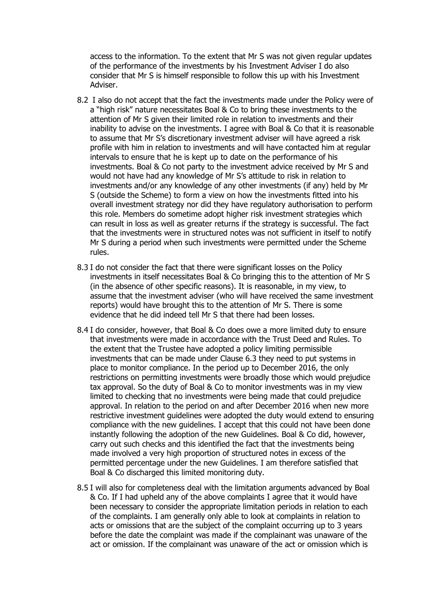access to the information. To the extent that Mr S was not given regular updates of the performance of the investments by his Investment Adviser I do also consider that Mr S is himself responsible to follow this up with his Investment Adviser.

- 8.2 I also do not accept that the fact the investments made under the Policy were of a "high risk" nature necessitates Boal & Co to bring these investments to the attention of Mr S given their limited role in relation to investments and their inability to advise on the investments. I agree with Boal & Co that it is reasonable to assume that Mr S's discretionary investment adviser will have agreed a risk profile with him in relation to investments and will have contacted him at regular intervals to ensure that he is kept up to date on the performance of his investments. Boal & Co not party to the investment advice received by Mr S and would not have had any knowledge of Mr S's attitude to risk in relation to investments and/or any knowledge of any other investments (if any) held by Mr S (outside the Scheme) to form a view on how the investments fitted into his overall investment strategy nor did they have regulatory authorisation to perform this role. Members do sometime adopt higher risk investment strategies which can result in loss as well as greater returns if the strategy is successful. The fact that the investments were in structured notes was not sufficient in itself to notify Mr S during a period when such investments were permitted under the Scheme rules.
- 8.3 I do not consider the fact that there were significant losses on the Policy investments in itself necessitates Boal & Co bringing this to the attention of Mr S (in the absence of other specific reasons). It is reasonable, in my view, to assume that the investment adviser (who will have received the same investment reports) would have brought this to the attention of Mr S. There is some evidence that he did indeed tell Mr S that there had been losses.
- 8.4 I do consider, however, that Boal & Co does owe a more limited duty to ensure that investments were made in accordance with the Trust Deed and Rules. To the extent that the Trustee have adopted a policy limiting permissible investments that can be made under Clause 6.3 they need to put systems in place to monitor compliance. In the period up to December 2016, the only restrictions on permitting investments were broadly those which would prejudice tax approval. So the duty of Boal & Co to monitor investments was in my view limited to checking that no investments were being made that could prejudice approval. In relation to the period on and after December 2016 when new more restrictive investment guidelines were adopted the duty would extend to ensuring compliance with the new guidelines. I accept that this could not have been done instantly following the adoption of the new Guidelines. Boal & Co did, however, carry out such checks and this identified the fact that the investments being made involved a very high proportion of structured notes in excess of the permitted percentage under the new Guidelines. I am therefore satisfied that Boal & Co discharged this limited monitoring duty.
- 8.5 I will also for completeness deal with the limitation arguments advanced by Boal & Co. If I had upheld any of the above complaints I agree that it would have been necessary to consider the appropriate limitation periods in relation to each of the complaints. I am generally only able to look at complaints in relation to acts or omissions that are the subject of the complaint occurring up to 3 years before the date the complaint was made if the complainant was unaware of the act or omission. If the complainant was unaware of the act or omission which is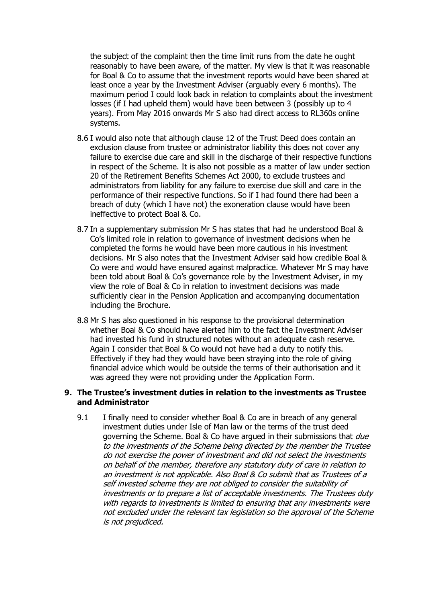the subject of the complaint then the time limit runs from the date he ought reasonably to have been aware, of the matter. My view is that it was reasonable for Boal & Co to assume that the investment reports would have been shared at least once a year by the Investment Adviser (arguably every 6 months). The maximum period I could look back in relation to complaints about the investment losses (if I had upheld them) would have been between 3 (possibly up to 4 years). From May 2016 onwards Mr S also had direct access to RL360s online systems.

- 8.6 I would also note that although clause 12 of the Trust Deed does contain an exclusion clause from trustee or administrator liability this does not cover any failure to exercise due care and skill in the discharge of their respective functions in respect of the Scheme. It is also not possible as a matter of law under section 20 of the Retirement Benefits Schemes Act 2000, to exclude trustees and administrators from liability for any failure to exercise due skill and care in the performance of their respective functions. So if I had found there had been a breach of duty (which I have not) the exoneration clause would have been ineffective to protect Boal & Co.
- 8.7 In a supplementary submission Mr S has states that had he understood Boal & Co's limited role in relation to governance of investment decisions when he completed the forms he would have been more cautious in his investment decisions. Mr S also notes that the Investment Adviser said how credible Boal & Co were and would have ensured against malpractice. Whatever Mr S may have been told about Boal & Co's governance role by the Investment Adviser, in my view the role of Boal & Co in relation to investment decisions was made sufficiently clear in the Pension Application and accompanying documentation including the Brochure.
- 8.8 Mr S has also questioned in his response to the provisional determination whether Boal & Co should have alerted him to the fact the Investment Adviser had invested his fund in structured notes without an adequate cash reserve. Again I consider that Boal & Co would not have had a duty to notify this. Effectively if they had they would have been straying into the role of giving financial advice which would be outside the terms of their authorisation and it was agreed they were not providing under the Application Form.

#### **9. The Trustee's investment duties in relation to the investments as Trustee and Administrator**

9.1 I finally need to consider whether Boal & Co are in breach of any general investment duties under Isle of Man law or the terms of the trust deed governing the Scheme. Boal & Co have argued in their submissions that due to the investments of the Scheme being directed by the member the Trustee do not exercise the power of investment and did not select the investments on behalf of the member, therefore any statutory duty of care in relation to an investment is not applicable. Also Boal & Co submit that as Trustees of a self invested scheme they are not obliged to consider the suitability of investments or to prepare a list of acceptable investments. The Trustees duty with regards to investments is limited to ensuring that any investments were not excluded under the relevant tax legislation so the approval of the Scheme is not prejudiced.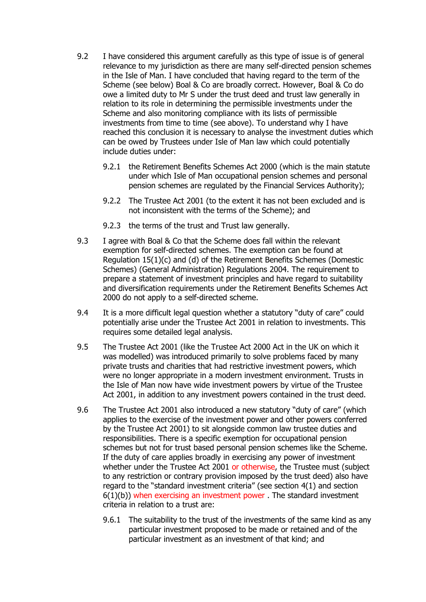- 9.2 I have considered this argument carefully as this type of issue is of general relevance to my jurisdiction as there are many self-directed pension schemes in the Isle of Man. I have concluded that having regard to the term of the Scheme (see below) Boal & Co are broadly correct. However, Boal & Co do owe a limited duty to Mr S under the trust deed and trust law generally in relation to its role in determining the permissible investments under the Scheme and also monitoring compliance with its lists of permissible investments from time to time (see above). To understand why I have reached this conclusion it is necessary to analyse the investment duties which can be owed by Trustees under Isle of Man law which could potentially include duties under:
	- 9.2.1 the Retirement Benefits Schemes Act 2000 (which is the main statute under which Isle of Man occupational pension schemes and personal pension schemes are regulated by the Financial Services Authority);
	- 9.2.2 The Trustee Act 2001 (to the extent it has not been excluded and is not inconsistent with the terms of the Scheme); and
	- 9.2.3 the terms of the trust and Trust law generally.
- 9.3 I agree with Boal & Co that the Scheme does fall within the relevant exemption for self-directed schemes. The exemption can be found at Regulation 15(1)(c) and (d) of the Retirement Benefits Schemes (Domestic Schemes) (General Administration) Regulations 2004. The requirement to prepare a statement of investment principles and have regard to suitability and diversification requirements under the Retirement Benefits Schemes Act 2000 do not apply to a self-directed scheme.
- 9.4 It is a more difficult legal question whether a statutory "duty of care" could potentially arise under the Trustee Act 2001 in relation to investments. This requires some detailed legal analysis.
- 9.5 The Trustee Act 2001 (like the Trustee Act 2000 Act in the UK on which it was modelled) was introduced primarily to solve problems faced by many private trusts and charities that had restrictive investment powers, which were no longer appropriate in a modern investment environment. Trusts in the Isle of Man now have wide investment powers by virtue of the Trustee Act 2001, in addition to any investment powers contained in the trust deed.
- 9.6 The Trustee Act 2001 also introduced a new statutory "duty of care" (which applies to the exercise of the investment power and other powers conferred by the Trustee Act 2001) to sit alongside common law trustee duties and responsibilities. There is a specific exemption for occupational pension schemes but not for trust based personal pension schemes like the Scheme. If the duty of care applies broadly in exercising any power of investment whether under the Trustee Act 2001 or otherwise, the Trustee must (subject to any restriction or contrary provision imposed by the trust deed) also have regard to the "standard investment criteria" (see section 4(1) and section 6(1)(b)) when exercising an investment power . The standard investment criteria in relation to a trust are:
	- 9.6.1 The suitability to the trust of the investments of the same kind as any particular investment proposed to be made or retained and of the particular investment as an investment of that kind; and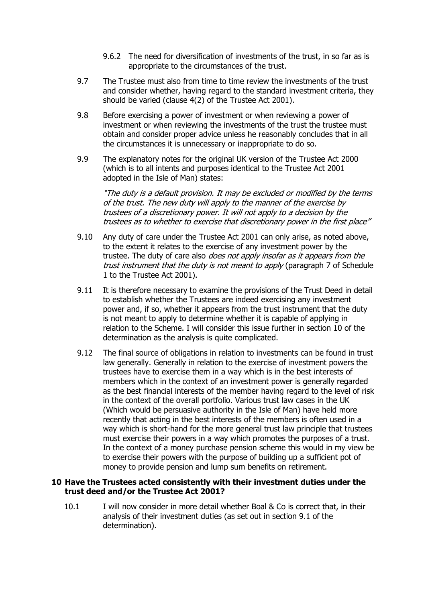- 9.6.2 The need for diversification of investments of the trust, in so far as is appropriate to the circumstances of the trust.
- 9.7 The Trustee must also from time to time review the investments of the trust and consider whether, having regard to the standard investment criteria, they should be varied (clause 4(2) of the Trustee Act 2001).
- 9.8 Before exercising a power of investment or when reviewing a power of investment or when reviewing the investments of the trust the trustee must obtain and consider proper advice unless he reasonably concludes that in all the circumstances it is unnecessary or inappropriate to do so.
- 9.9 The explanatory notes for the original UK version of the Trustee Act 2000 (which is to all intents and purposes identical to the Trustee Act 2001 adopted in the Isle of Man) states:

"The duty is a default provision. It may be excluded or modified by the terms of the trust. The new duty will apply to the manner of the exercise by trustees of a discretionary power. It will not apply to a decision by the trustees as to whether to exercise that discretionary power in the first place"

- 9.10 Any duty of care under the Trustee Act 2001 can only arise, as noted above, to the extent it relates to the exercise of any investment power by the trustee. The duty of care also *does not apply insofar as it appears from the* trust instrument that the duty is not meant to apply (paragraph 7 of Schedule 1 to the Trustee Act 2001).
- 9.11 It is therefore necessary to examine the provisions of the Trust Deed in detail to establish whether the Trustees are indeed exercising any investment power and, if so, whether it appears from the trust instrument that the duty is not meant to apply to determine whether it is capable of applying in relation to the Scheme. I will consider this issue further in section 10 of the determination as the analysis is quite complicated.
- 9.12 The final source of obligations in relation to investments can be found in trust law generally. Generally in relation to the exercise of investment powers the trustees have to exercise them in a way which is in the best interests of members which in the context of an investment power is generally regarded as the best financial interests of the member having regard to the level of risk in the context of the overall portfolio. Various trust law cases in the UK (Which would be persuasive authority in the Isle of Man) have held more recently that acting in the best interests of the members is often used in a way which is short-hand for the more general trust law principle that trustees must exercise their powers in a way which promotes the purposes of a trust. In the context of a money purchase pension scheme this would in my view be to exercise their powers with the purpose of building up a sufficient pot of money to provide pension and lump sum benefits on retirement.

### **10 Have the Trustees acted consistently with their investment duties under the trust deed and/or the Trustee Act 2001?**

10.1 I will now consider in more detail whether Boal & Co is correct that, in their analysis of their investment duties (as set out in section 9.1 of the determination).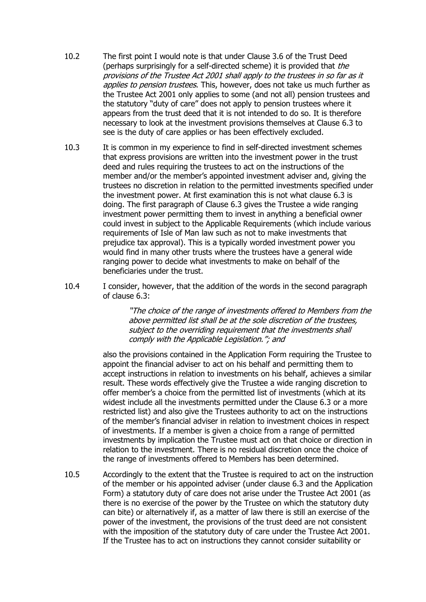- 10.2 The first point I would note is that under Clause 3.6 of the Trust Deed (perhaps surprisingly for a self-directed scheme) it is provided that *the* provisions of the Trustee Act 2001 shall apply to the trustees in so far as it applies to pension trustees. This, however, does not take us much further as the Trustee Act 2001 only applies to some (and not all) pension trustees and the statutory "duty of care" does not apply to pension trustees where it appears from the trust deed that it is not intended to do so. It is therefore necessary to look at the investment provisions themselves at Clause 6.3 to see is the duty of care applies or has been effectively excluded.
- 10.3 It is common in my experience to find in self-directed investment schemes that express provisions are written into the investment power in the trust deed and rules requiring the trustees to act on the instructions of the member and/or the member's appointed investment adviser and, giving the trustees no discretion in relation to the permitted investments specified under the investment power. At first examination this is not what clause 6.3 is doing. The first paragraph of Clause 6.3 gives the Trustee a wide ranging investment power permitting them to invest in anything a beneficial owner could invest in subject to the Applicable Requirements (which include various requirements of Isle of Man law such as not to make investments that prejudice tax approval). This is a typically worded investment power you would find in many other trusts where the trustees have a general wide ranging power to decide what investments to make on behalf of the beneficiaries under the trust.
- 10.4 I consider, however, that the addition of the words in the second paragraph of clause 6.3:

"The choice of the range of investments offered to Members from the above permitted list shall be at the sole discretion of the trustees, subject to the overriding requirement that the investments shall comply with the Applicable Legislation."; and

also the provisions contained in the Application Form requiring the Trustee to appoint the financial adviser to act on his behalf and permitting them to accept instructions in relation to investments on his behalf, achieves a similar result. These words effectively give the Trustee a wide ranging discretion to offer member's a choice from the permitted list of investments (which at its widest include all the investments permitted under the Clause 6.3 or a more restricted list) and also give the Trustees authority to act on the instructions of the member's financial adviser in relation to investment choices in respect of investments. If a member is given a choice from a range of permitted investments by implication the Trustee must act on that choice or direction in relation to the investment. There is no residual discretion once the choice of the range of investments offered to Members has been determined.

10.5 Accordingly to the extent that the Trustee is required to act on the instruction of the member or his appointed adviser (under clause 6.3 and the Application Form) a statutory duty of care does not arise under the Trustee Act 2001 (as there is no exercise of the power by the Trustee on which the statutory duty can bite) or alternatively if, as a matter of law there is still an exercise of the power of the investment, the provisions of the trust deed are not consistent with the imposition of the statutory duty of care under the Trustee Act 2001. If the Trustee has to act on instructions they cannot consider suitability or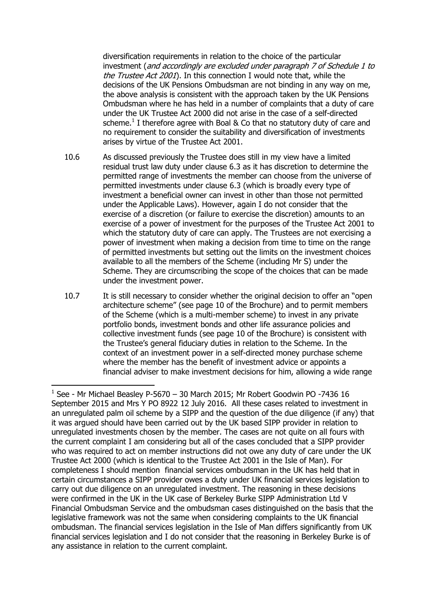diversification requirements in relation to the choice of the particular investment (and accordingly are excluded under paragraph 7 of Schedule 1 to the Trustee Act 2001). In this connection I would note that, while the decisions of the UK Pensions Ombudsman are not binding in any way on me, the above analysis is consistent with the approach taken by the UK Pensions Ombudsman where he has held in a number of complaints that a duty of care under the UK Trustee Act 2000 did not arise in the case of a self-directed scheme. $<sup>1</sup>$  I therefore agree with Boal & Co that no statutory duty of care and</sup> no requirement to consider the suitability and diversification of investments arises by virtue of the Trustee Act 2001.

- 10.6 As discussed previously the Trustee does still in my view have a limited residual trust law duty under clause 6.3 as it has discretion to determine the permitted range of investments the member can choose from the universe of permitted investments under clause 6.3 (which is broadly every type of investment a beneficial owner can invest in other than those not permitted under the Applicable Laws). However, again I do not consider that the exercise of a discretion (or failure to exercise the discretion) amounts to an exercise of a power of investment for the purposes of the Trustee Act 2001 to which the statutory duty of care can apply. The Trustees are not exercising a power of investment when making a decision from time to time on the range of permitted investments but setting out the limits on the investment choices available to all the members of the Scheme (including Mr S) under the Scheme. They are circumscribing the scope of the choices that can be made under the investment power.
- 10.7 It is still necessary to consider whether the original decision to offer an "open architecture scheme" (see page 10 of the Brochure) and to permit members of the Scheme (which is a multi-member scheme) to invest in any private portfolio bonds, investment bonds and other life assurance policies and collective investment funds (see page 10 of the Brochure) is consistent with the Trustee's general fiduciary duties in relation to the Scheme. In the context of an investment power in a self-directed money purchase scheme where the member has the benefit of investment advice or appoints a financial adviser to make investment decisions for him, allowing a wide range

1

 $1$  See - Mr Michael Beasley P-5670 – 30 March 2015; Mr Robert Goodwin PO -7436 16 September 2015 and Mrs Y PO 8922 12 July 2016. All these cases related to investment in an unregulated palm oil scheme by a SIPP and the question of the due diligence (if any) that it was argued should have been carried out by the UK based SIPP provider in relation to unregulated investments chosen by the member. The cases are not quite on all fours with the current complaint I am considering but all of the cases concluded that a SIPP provider who was required to act on member instructions did not owe any duty of care under the UK Trustee Act 2000 (which is identical to the Trustee Act 2001 in the Isle of Man). For completeness I should mention financial services ombudsman in the UK has held that in certain circumstances a SIPP provider owes a duty under UK financial services legislation to carry out due diligence on an unregulated investment. The reasoning in these decisions were confirmed in the UK in the UK case of Berkeley Burke SIPP Administration Ltd V Financial Ombudsman Service and the ombudsman cases distinguished on the basis that the legislative framework was not the same when considering complaints to the UK financial ombudsman. The financial services legislation in the Isle of Man differs significantly from UK financial services legislation and I do not consider that the reasoning in Berkeley Burke is of any assistance in relation to the current complaint.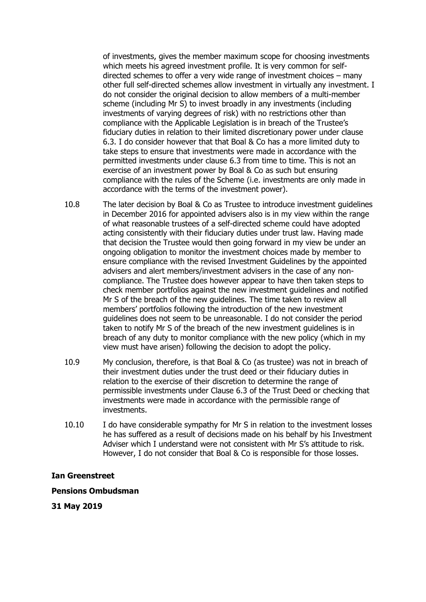of investments, gives the member maximum scope for choosing investments which meets his agreed investment profile. It is very common for selfdirected schemes to offer a very wide range of investment choices – many other full self-directed schemes allow investment in virtually any investment. I do not consider the original decision to allow members of a multi-member scheme (including Mr S) to invest broadly in any investments (including investments of varying degrees of risk) with no restrictions other than compliance with the Applicable Legislation is in breach of the Trustee's fiduciary duties in relation to their limited discretionary power under clause 6.3. I do consider however that that Boal & Co has a more limited duty to take steps to ensure that investments were made in accordance with the permitted investments under clause 6.3 from time to time. This is not an exercise of an investment power by Boal & Co as such but ensuring compliance with the rules of the Scheme (i.e. investments are only made in accordance with the terms of the investment power).

- 10.8 The later decision by Boal & Co as Trustee to introduce investment guidelines in December 2016 for appointed advisers also is in my view within the range of what reasonable trustees of a self-directed scheme could have adopted acting consistently with their fiduciary duties under trust law. Having made that decision the Trustee would then going forward in my view be under an ongoing obligation to monitor the investment choices made by member to ensure compliance with the revised Investment Guidelines by the appointed advisers and alert members/investment advisers in the case of any noncompliance. The Trustee does however appear to have then taken steps to check member portfolios against the new investment guidelines and notified Mr S of the breach of the new guidelines. The time taken to review all members' portfolios following the introduction of the new investment guidelines does not seem to be unreasonable. I do not consider the period taken to notify Mr S of the breach of the new investment guidelines is in breach of any duty to monitor compliance with the new policy (which in my view must have arisen) following the decision to adopt the policy.
- 10.9 My conclusion, therefore, is that Boal & Co (as trustee) was not in breach of their investment duties under the trust deed or their fiduciary duties in relation to the exercise of their discretion to determine the range of permissible investments under Clause 6.3 of the Trust Deed or checking that investments were made in accordance with the permissible range of investments.
- 10.10 I do have considerable sympathy for Mr S in relation to the investment losses he has suffered as a result of decisions made on his behalf by his Investment Adviser which I understand were not consistent with Mr S's attitude to risk. However, I do not consider that Boal & Co is responsible for those losses.

### **Ian Greenstreet**

### **Pensions Ombudsman**

**31 May 2019**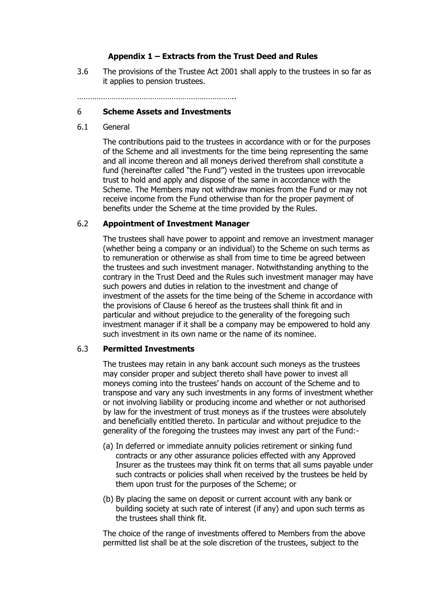# **Appendix 1 – Extracts from the Trust Deed and Rules**

3.6 The provisions of the Trustee Act 2001 shall apply to the trustees in so far as it applies to pension trustees.

………………………………………………………………..

## 6 **Scheme Assets and Investments**

6.1 General

The contributions paid to the trustees in accordance with or for the purposes of the Scheme and all investments for the time being representing the same and all income thereon and all moneys derived therefrom shall constitute a fund (hereinafter called "the Fund") vested in the trustees upon irrevocable trust to hold and apply and dispose of the same in accordance with the Scheme. The Members may not withdraw monies from the Fund or may not receive income from the Fund otherwise than for the proper payment of benefits under the Scheme at the time provided by the Rules.

## 6.2 **Appointment of Investment Manager**

The trustees shall have power to appoint and remove an investment manager (whether being a company or an individual) to the Scheme on such terms as to remuneration or otherwise as shall from time to time be agreed between the trustees and such investment manager. Notwithstanding anything to the contrary in the Trust Deed and the Rules such investment manager may have such powers and duties in relation to the investment and change of investment of the assets for the time being of the Scheme in accordance with the provisions of Clause 6 hereof as the trustees shall think fit and in particular and without prejudice to the generality of the foregoing such investment manager if it shall be a company may be empowered to hold any such investment in its own name or the name of its nominee.

### 6.3 **Permitted Investments**

The trustees may retain in any bank account such moneys as the trustees may consider proper and subject thereto shall have power to invest all moneys coming into the trustees' hands on account of the Scheme and to transpose and vary any such investments in any forms of investment whether or not involving liability or producing income and whether or not authorised by law for the investment of trust moneys as if the trustees were absolutely and beneficially entitled thereto. In particular and without prejudice to the generality of the foregoing the trustees may invest any part of the Fund:-

- (a) In deferred or immediate annuity policies retirement or sinking fund contracts or any other assurance policies effected with any Approved Insurer as the trustees may think fit on terms that all sums payable under such contracts or policies shall when received by the trustees be held by them upon trust for the purposes of the Scheme; or
- (b) By placing the same on deposit or current account with any bank or building society at such rate of interest (if any) and upon such terms as the trustees shall think fit.

The choice of the range of investments offered to Members from the above permitted list shall be at the sole discretion of the trustees, subject to the